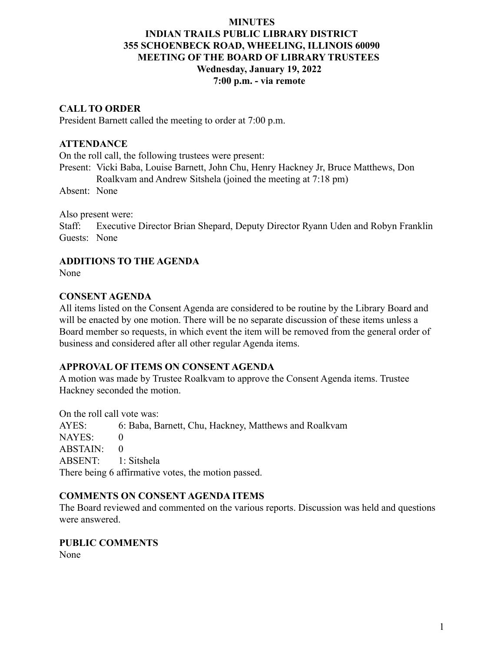### **MINUTES**

# **INDIAN TRAILS PUBLIC LIBRARY DISTRICT 355 SCHOENBECK ROAD, WHEELING, ILLINOIS 60090 MEETING OF THE BOARD OF LIBRARY TRUSTEES Wednesday, January 19, 2022 7:00 p.m. - via remote**

# **CALL TO ORDER**

President Barnett called the meeting to order at 7:00 p.m.

# **ATTENDANCE**

On the roll call, the following trustees were present:

Present: Vicki Baba, Louise Barnett, John Chu, Henry Hackney Jr, Bruce Matthews, Don Roalkvam and Andrew Sitshela (joined the meeting at 7:18 pm)

Absent: None

Also present were:

Staff: Executive Director Brian Shepard, Deputy Director Ryann Uden and Robyn Franklin Guests: None

# **ADDITIONS TO THE AGENDA**

None

# **CONSENT AGENDA**

All items listed on the Consent Agenda are considered to be routine by the Library Board and will be enacted by one motion. There will be no separate discussion of these items unless a Board member so requests, in which event the item will be removed from the general order of business and considered after all other regular Agenda items.

# **APPROVAL OF ITEMS ON CONSENT AGENDA**

A motion was made by Trustee Roalkvam to approve the Consent Agenda items. Trustee Hackney seconded the motion.

On the roll call vote was:

AYES: 6: Baba, Barnett, Chu, Hackney, Matthews and Roalkvam NAYES: 0 ABSTAIN: 0 ABSENT: 1: Sitshela There being 6 affirmative votes, the motion passed.

# **COMMENTS ON CONSENT AGENDA ITEMS**

The Board reviewed and commented on the various reports. Discussion was held and questions were answered.

#### **PUBLIC COMMENTS**

None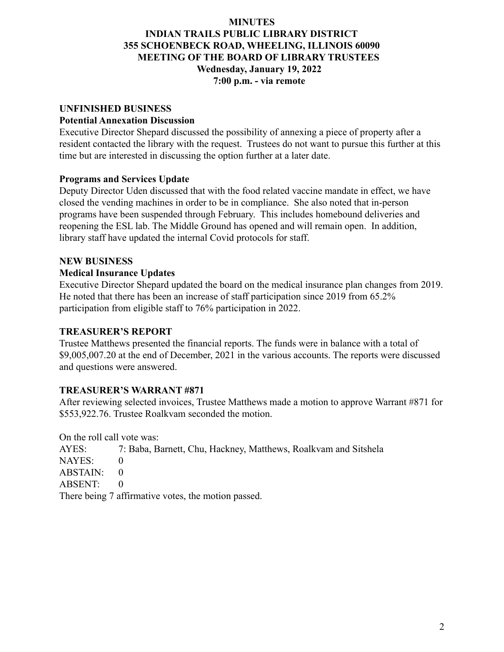### **MINUTES**

# **INDIAN TRAILS PUBLIC LIBRARY DISTRICT 355 SCHOENBECK ROAD, WHEELING, ILLINOIS 60090 MEETING OF THE BOARD OF LIBRARY TRUSTEES Wednesday, January 19, 2022 7:00 p.m. - via remote**

# **UNFINISHED BUSINESS**

#### **Potential Annexation Discussion**

Executive Director Shepard discussed the possibility of annexing a piece of property after a resident contacted the library with the request. Trustees do not want to pursue this further at this time but are interested in discussing the option further at a later date.

# **Programs and Services Update**

Deputy Director Uden discussed that with the food related vaccine mandate in effect, we have closed the vending machines in order to be in compliance. She also noted that in-person programs have been suspended through February. This includes homebound deliveries and reopening the ESL lab. The Middle Ground has opened and will remain open. In addition, library staff have updated the internal Covid protocols for staff.

# **NEW BUSINESS**

# **Medical Insurance Updates**

Executive Director Shepard updated the board on the medical insurance plan changes from 2019. He noted that there has been an increase of staff participation since 2019 from 65.2% participation from eligible staff to 76% participation in 2022.

### **TREASURER'S REPORT**

Trustee Matthews presented the financial reports. The funds were in balance with a total of \$9,005,007.20 at the end of December, 2021 in the various accounts. The reports were discussed and questions were answered.

# **TREASURER'S WARRANT #871**

After reviewing selected invoices, Trustee Matthews made a motion to approve Warrant #871 for \$553,922.76. Trustee Roalkvam seconded the motion.

On the roll call vote was:

AYES: 7: Baba, Barnett, Chu, Hackney, Matthews, Roalkvam and Sitshela NAYES: 0  $ABSTAIN: 0$ ABSENT: 0 There being 7 affirmative votes, the motion passed.